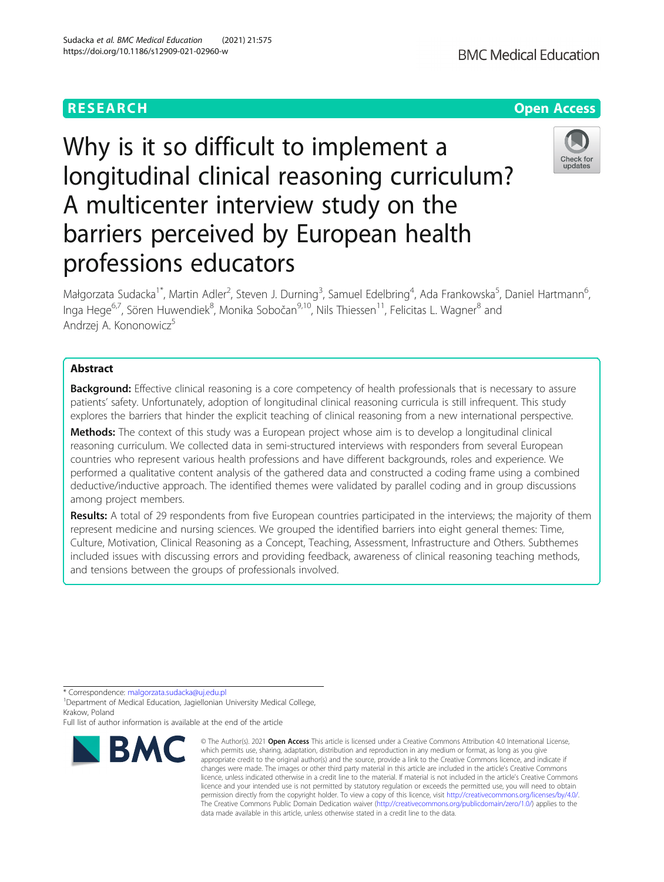# Why is it so difficult to implement a longitudinal clinical reasoning curriculum? A multicenter interview study on the barriers perceived by European health professions educators

Małgorzata Sudacka<sup>1\*</sup>, Martin Adler<sup>2</sup>, Steven J. Durning<sup>3</sup>, Samuel Edelbring<sup>4</sup>, Ada Frankowska<sup>5</sup>, Daniel Hartmann<sup>6</sup> י<br>, Inga Hege<sup>6,7</sup>, Sören Huwendiek<sup>8</sup>, Monika Sobočan<sup>9,10</sup>, Nils Thiessen<sup>11</sup>, Felicitas L. Wagner<sup>8</sup> and Andrzej A. Kononowicz<sup>5</sup>

# Abstract

Background: Effective clinical reasoning is a core competency of health professionals that is necessary to assure patients' safety. Unfortunately, adoption of longitudinal clinical reasoning curricula is still infrequent. This study explores the barriers that hinder the explicit teaching of clinical reasoning from a new international perspective.

Methods: The context of this study was a European project whose aim is to develop a longitudinal clinical reasoning curriculum. We collected data in semi-structured interviews with responders from several European countries who represent various health professions and have different backgrounds, roles and experience. We performed a qualitative content analysis of the gathered data and constructed a coding frame using a combined deductive/inductive approach. The identified themes were validated by parallel coding and in group discussions among project members.

Results: A total of 29 respondents from five European countries participated in the interviews; the majority of them represent medicine and nursing sciences. We grouped the identified barriers into eight general themes: Time, Culture, Motivation, Clinical Reasoning as a Concept, Teaching, Assessment, Infrastructure and Others. Subthemes included issues with discussing errors and providing feedback, awareness of clinical reasoning teaching methods, and tensions between the groups of professionals involved.

\* Correspondence: [malgorzata.sudacka@uj.edu.pl](mailto:malgorzata.sudacka@uj.edu.pl) <sup>1</sup>

<sup>1</sup> Department of Medical Education, Jagiellonian University Medical College, Krakow, Poland

Full list of author information is available at the end of the article

#### © The Author(s), 2021 **Open Access** This article is licensed under a Creative Commons Attribution 4.0 International License, which permits use, sharing, adaptation, distribution and reproduction in any medium or format, as long as you give appropriate credit to the original author(s) and the source, provide a link to the Creative Commons licence, and indicate if changes were made. The images or other third party material in this article are included in the article's Creative Commons licence, unless indicated otherwise in a credit line to the material. If material is not included in the article's Creative Commons licence and your intended use is not permitted by statutory regulation or exceeds the permitted use, you will need to obtain permission directly from the copyright holder. To view a copy of this licence, visit [http://creativecommons.org/licenses/by/4.0/.](http://creativecommons.org/licenses/by/4.0/)

data made available in this article, unless otherwise stated in a credit line to the data.

The Creative Commons Public Domain Dedication waiver [\(http://creativecommons.org/publicdomain/zero/1.0/](http://creativecommons.org/publicdomain/zero/1.0/)) applies to the

Sudacka et al. BMC Medical Education (2021) 21:575 https://doi.org/10.1186/s12909-021-02960-w





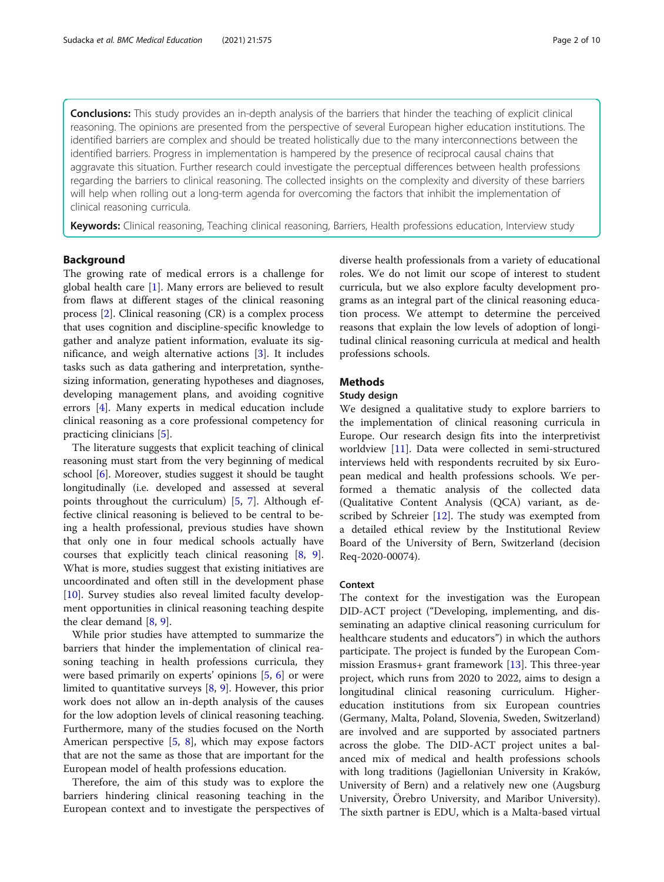**Conclusions:** This study provides an in-depth analysis of the barriers that hinder the teaching of explicit clinical reasoning. The opinions are presented from the perspective of several European higher education institutions. The identified barriers are complex and should be treated holistically due to the many interconnections between the identified barriers. Progress in implementation is hampered by the presence of reciprocal causal chains that aggravate this situation. Further research could investigate the perceptual differences between health professions regarding the barriers to clinical reasoning. The collected insights on the complexity and diversity of these barriers will help when rolling out a long-term agenda for overcoming the factors that inhibit the implementation of clinical reasoning curricula.

Keywords: Clinical reasoning, Teaching clinical reasoning, Barriers, Health professions education, Interview study

#### Background

The growing rate of medical errors is a challenge for global health care [\[1](#page-8-0)]. Many errors are believed to result from flaws at different stages of the clinical reasoning process [\[2](#page-8-0)]. Clinical reasoning (CR) is a complex process that uses cognition and discipline-specific knowledge to gather and analyze patient information, evaluate its significance, and weigh alternative actions [\[3](#page-8-0)]. It includes tasks such as data gathering and interpretation, synthesizing information, generating hypotheses and diagnoses, developing management plans, and avoiding cognitive errors [\[4\]](#page-8-0). Many experts in medical education include clinical reasoning as a core professional competency for practicing clinicians [\[5](#page-8-0)].

The literature suggests that explicit teaching of clinical reasoning must start from the very beginning of medical school [\[6](#page-8-0)]. Moreover, studies suggest it should be taught longitudinally (i.e. developed and assessed at several points throughout the curriculum) [[5,](#page-8-0) [7](#page-8-0)]. Although effective clinical reasoning is believed to be central to being a health professional, previous studies have shown that only one in four medical schools actually have courses that explicitly teach clinical reasoning [\[8](#page-8-0), [9](#page-8-0)]. What is more, studies suggest that existing initiatives are uncoordinated and often still in the development phase [[10\]](#page-8-0). Survey studies also reveal limited faculty development opportunities in clinical reasoning teaching despite the clear demand [[8,](#page-8-0) [9\]](#page-8-0).

While prior studies have attempted to summarize the barriers that hinder the implementation of clinical reasoning teaching in health professions curricula, they were based primarily on experts' opinions [\[5,](#page-8-0) [6](#page-8-0)] or were limited to quantitative surveys [\[8](#page-8-0), [9](#page-8-0)]. However, this prior work does not allow an in-depth analysis of the causes for the low adoption levels of clinical reasoning teaching. Furthermore, many of the studies focused on the North American perspective [\[5](#page-8-0), [8\]](#page-8-0), which may expose factors that are not the same as those that are important for the European model of health professions education.

Therefore, the aim of this study was to explore the barriers hindering clinical reasoning teaching in the European context and to investigate the perspectives of diverse health professionals from a variety of educational roles. We do not limit our scope of interest to student curricula, but we also explore faculty development programs as an integral part of the clinical reasoning education process. We attempt to determine the perceived reasons that explain the low levels of adoption of longitudinal clinical reasoning curricula at medical and health professions schools.

# **Methods**

#### Study design

We designed a qualitative study to explore barriers to the implementation of clinical reasoning curricula in Europe. Our research design fits into the interpretivist worldview [\[11\]](#page-9-0). Data were collected in semi-structured interviews held with respondents recruited by six European medical and health professions schools. We performed a thematic analysis of the collected data (Qualitative Content Analysis (QCA) variant, as described by Schreier  $[12]$  $[12]$ . The study was exempted from a detailed ethical review by the Institutional Review Board of the University of Bern, Switzerland (decision Req-2020-00074).

#### Context

The context for the investigation was the European DID-ACT project ("Developing, implementing, and disseminating an adaptive clinical reasoning curriculum for healthcare students and educators") in which the authors participate. The project is funded by the European Commission Erasmus+ grant framework [[13](#page-9-0)]. This three-year project, which runs from 2020 to 2022, aims to design a longitudinal clinical reasoning curriculum. Highereducation institutions from six European countries (Germany, Malta, Poland, Slovenia, Sweden, Switzerland) are involved and are supported by associated partners across the globe. The DID-ACT project unites a balanced mix of medical and health professions schools with long traditions (Jagiellonian University in Kraków, University of Bern) and a relatively new one (Augsburg University, Örebro University, and Maribor University). The sixth partner is EDU, which is a Malta-based virtual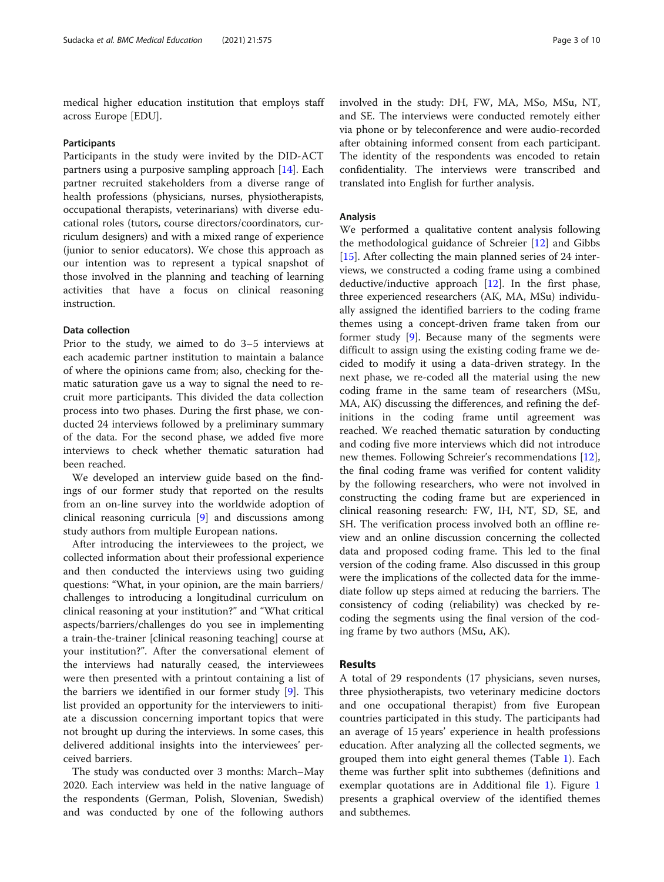medical higher education institution that employs staff across Europe [EDU].

#### Participants

Participants in the study were invited by the DID-ACT partners using a purposive sampling approach [[14](#page-9-0)]. Each partner recruited stakeholders from a diverse range of health professions (physicians, nurses, physiotherapists, occupational therapists, veterinarians) with diverse educational roles (tutors, course directors/coordinators, curriculum designers) and with a mixed range of experience (junior to senior educators). We chose this approach as our intention was to represent a typical snapshot of those involved in the planning and teaching of learning activities that have a focus on clinical reasoning instruction.

## Data collection

Prior to the study, we aimed to do 3–5 interviews at each academic partner institution to maintain a balance of where the opinions came from; also, checking for thematic saturation gave us a way to signal the need to recruit more participants. This divided the data collection process into two phases. During the first phase, we conducted 24 interviews followed by a preliminary summary of the data. For the second phase, we added five more interviews to check whether thematic saturation had been reached.

We developed an interview guide based on the findings of our former study that reported on the results from an on-line survey into the worldwide adoption of clinical reasoning curricula [\[9](#page-8-0)] and discussions among study authors from multiple European nations.

After introducing the interviewees to the project, we collected information about their professional experience and then conducted the interviews using two guiding questions: "What, in your opinion, are the main barriers/ challenges to introducing a longitudinal curriculum on clinical reasoning at your institution?" and "What critical aspects/barriers/challenges do you see in implementing a train-the-trainer [clinical reasoning teaching] course at your institution?". After the conversational element of the interviews had naturally ceased, the interviewees were then presented with a printout containing a list of the barriers we identified in our former study [\[9\]](#page-8-0). This list provided an opportunity for the interviewers to initiate a discussion concerning important topics that were not brought up during the interviews. In some cases, this delivered additional insights into the interviewees' perceived barriers.

The study was conducted over 3 months: March–May 2020. Each interview was held in the native language of the respondents (German, Polish, Slovenian, Swedish) and was conducted by one of the following authors

involved in the study: DH, FW, MA, MSo, MSu, NT, and SE. The interviews were conducted remotely either via phone or by teleconference and were audio-recorded after obtaining informed consent from each participant. The identity of the respondents was encoded to retain confidentiality. The interviews were transcribed and translated into English for further analysis.

#### Analysis

We performed a qualitative content analysis following the methodological guidance of Schreier [[12](#page-9-0)] and Gibbs [[15\]](#page-9-0). After collecting the main planned series of 24 interviews, we constructed a coding frame using a combined deductive/inductive approach [\[12](#page-9-0)]. In the first phase, three experienced researchers (AK, MA, MSu) individually assigned the identified barriers to the coding frame themes using a concept-driven frame taken from our former study [\[9](#page-8-0)]. Because many of the segments were difficult to assign using the existing coding frame we decided to modify it using a data-driven strategy. In the next phase, we re-coded all the material using the new coding frame in the same team of researchers (MSu, MA, AK) discussing the differences, and refining the definitions in the coding frame until agreement was reached. We reached thematic saturation by conducting and coding five more interviews which did not introduce new themes. Following Schreier's recommendations [\[12](#page-9-0)], the final coding frame was verified for content validity by the following researchers, who were not involved in constructing the coding frame but are experienced in clinical reasoning research: FW, IH, NT, SD, SE, and SH. The verification process involved both an offline review and an online discussion concerning the collected data and proposed coding frame. This led to the final version of the coding frame. Also discussed in this group were the implications of the collected data for the immediate follow up steps aimed at reducing the barriers. The consistency of coding (reliability) was checked by recoding the segments using the final version of the coding frame by two authors (MSu, AK).

# Results

A total of 29 respondents (17 physicians, seven nurses, three physiotherapists, two veterinary medicine doctors and one occupational therapist) from five European countries participated in this study. The participants had an average of 15 years' experience in health professions education. After analyzing all the collected segments, we grouped them into eight general themes (Table [1](#page-3-0)). Each theme was further split into subthemes (definitions and exemplar quotations are in Additional file [1\)](#page-8-0). Figure [1](#page-3-0) presents a graphical overview of the identified themes and subthemes.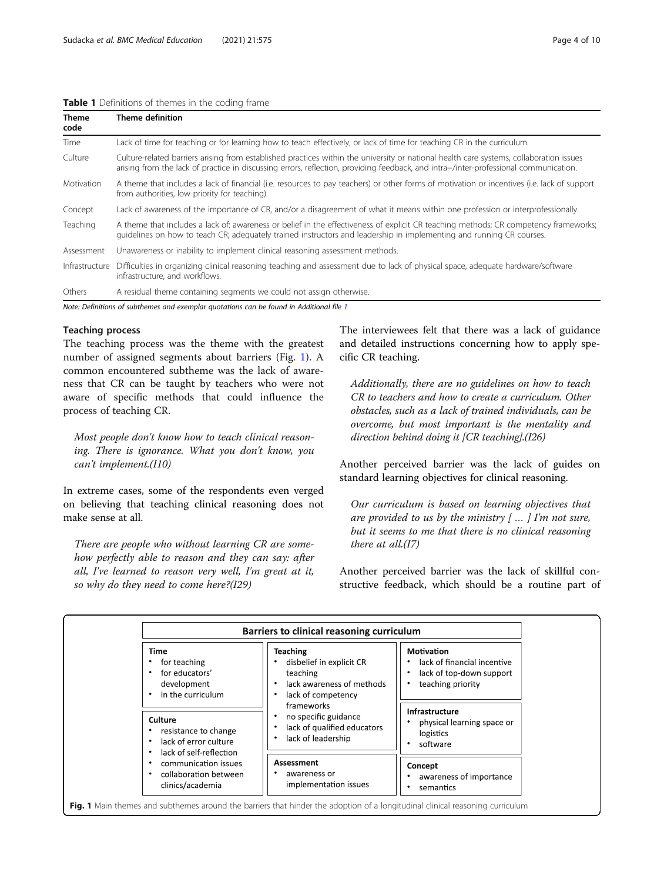#### <span id="page-3-0"></span>Table 1 Definitions of themes in the coding frame

| <b>Theme</b><br>code | <b>Theme definition</b>                                                                                                                                                                                                                                                         |  |
|----------------------|---------------------------------------------------------------------------------------------------------------------------------------------------------------------------------------------------------------------------------------------------------------------------------|--|
| Time                 | Lack of time for teaching or for learning how to teach effectively, or lack of time for teaching CR in the curriculum.                                                                                                                                                          |  |
| Culture              | Culture-related barriers arising from established practices within the university or national health care systems, collaboration issues<br>arising from the lack of practice in discussing errors, reflection, providing feedback, and intra-/inter-professional communication. |  |
| Motivation           | A theme that includes a lack of financial (i.e. resources to pay teachers) or other forms of motivation or incentives (i.e. lack of support<br>from authorities, low priority for teaching).                                                                                    |  |
| Concept              | Lack of awareness of the importance of CR, and/or a disagreement of what it means within one profession or interprofessionally.                                                                                                                                                 |  |
| Teaching             | A theme that includes a lack of: awareness or belief in the effectiveness of explicit CR teaching methods; CR competency frameworks;<br>guidelines on how to teach CR; adequately trained instructors and leadership in implementing and running CR courses.                    |  |
| Assessment           | Unawareness or inability to implement clinical reasoning assessment methods.                                                                                                                                                                                                    |  |
| Infrastructure       | Difficulties in organizing clinical reasoning teaching and assessment due to lack of physical space, adequate hardware/software<br>infrastructure, and workflows.                                                                                                               |  |
| Others               | A residual theme containing segments we could not assign otherwise.                                                                                                                                                                                                             |  |

Note: Definitions of subthemes and exemplar quotations can be found in Additional file [1](#page-8-0)

# Teaching process

The teaching process was the theme with the greatest number of assigned segments about barriers (Fig. 1). A common encountered subtheme was the lack of awareness that CR can be taught by teachers who were not aware of specific methods that could influence the process of teaching CR.

Most people don't know how to teach clinical reasoning. There is ignorance. What you don't know, you can't implement.(I10)

In extreme cases, some of the respondents even verged on believing that teaching clinical reasoning does not make sense at all.

There are people who without learning CR are somehow perfectly able to reason and they can say: after all, I've learned to reason very well, I'm great at it, so why do they need to come here?(I29)

The interviewees felt that there was a lack of guidance and detailed instructions concerning how to apply specific CR teaching.

Additionally, there are no guidelines on how to teach CR to teachers and how to create a curriculum. Other obstacles, such as a lack of trained individuals, can be overcome, but most important is the mentality and direction behind doing it [CR teaching].(I26)

Another perceived barrier was the lack of guides on standard learning objectives for clinical reasoning.

Our curriculum is based on learning objectives that are provided to us by the ministry  $\lceil \ldots \rceil$  I'm not sure, but it seems to me that there is no clinical reasoning there at all.(I7)

Another perceived barrier was the lack of skillful constructive feedback, which should be a routine part of

|                                                                                          | Barriers to clinical reasoning curriculum                                                                       |                                                                                            |
|------------------------------------------------------------------------------------------|-----------------------------------------------------------------------------------------------------------------|--------------------------------------------------------------------------------------------|
| <b>Time</b><br>for teaching<br>for educators'<br>development<br>in the curriculum        | <b>Teaching</b><br>disbelief in explicit CR<br>teaching<br>lack awareness of methods<br>lack of competency<br>٠ | Motivation<br>lack of financial incentive<br>lack of top-down support<br>teaching priority |
| Culture<br>resistance to change<br>lack of error culture<br>٠<br>lack of self-reflection | frameworks<br>no specific guidance<br>lack of qualified educators<br>٠<br>lack of leadership<br>٠               | Infrastructure<br>physical learning space or<br>logistics<br>software                      |
| communication issues<br>collaboration between<br>clinics/academia                        | Assessment<br>awareness or<br>implementation issues                                                             | Concept<br>awareness of importance<br>semantics<br>٠                                       |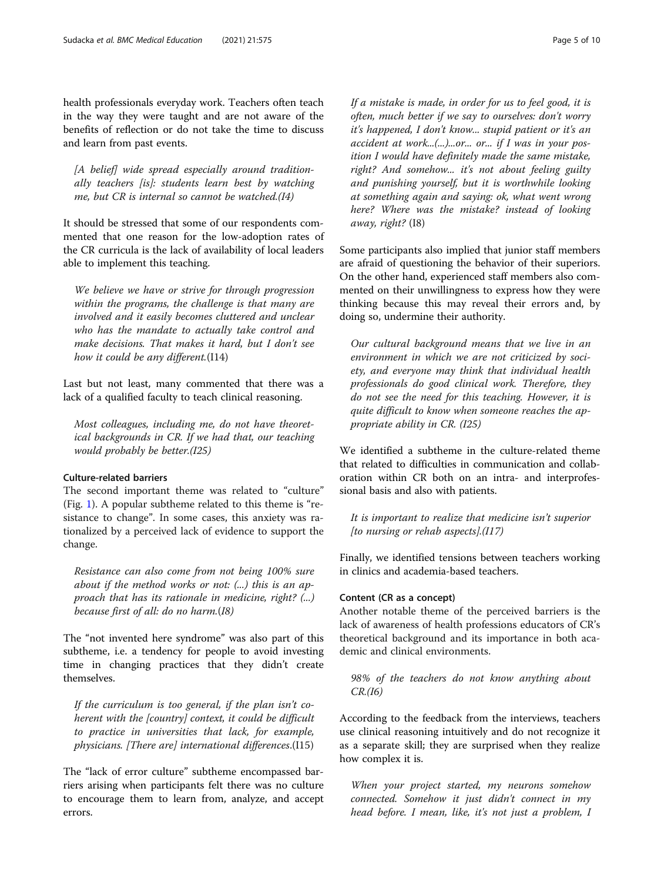health professionals everyday work. Teachers often teach in the way they were taught and are not aware of the benefits of reflection or do not take the time to discuss and learn from past events.

[A belief] wide spread especially around traditionally teachers [is]: students learn best by watching me, but CR is internal so cannot be watched.(I4)

It should be stressed that some of our respondents commented that one reason for the low-adoption rates of the CR curricula is the lack of availability of local leaders able to implement this teaching.

We believe we have or strive for through progression within the programs, the challenge is that many are involved and it easily becomes cluttered and unclear who has the mandate to actually take control and make decisions. That makes it hard, but I don't see how it could be any different. (I14)

Last but not least, many commented that there was a lack of a qualified faculty to teach clinical reasoning.

Most colleagues, including me, do not have theoretical backgrounds in CR. If we had that, our teaching would probably be better.(I25)

#### Culture-related barriers

The second important theme was related to "culture" (Fig. [1](#page-3-0)). A popular subtheme related to this theme is "resistance to change". In some cases, this anxiety was rationalized by a perceived lack of evidence to support the change.

Resistance can also come from not being 100% sure about if the method works or not: (...) this is an approach that has its rationale in medicine, right? (...) because first of all: do no harm.(I8)

The "not invented here syndrome" was also part of this subtheme, i.e. a tendency for people to avoid investing time in changing practices that they didn't create themselves.

If the curriculum is too general, if the plan isn't coherent with the [country] context, it could be difficult to practice in universities that lack, for example, physicians. [There are] international differences.(I15)

The "lack of error culture" subtheme encompassed barriers arising when participants felt there was no culture to encourage them to learn from, analyze, and accept errors.

If a mistake is made, in order for us to feel good, it is often, much better if we say to ourselves: don't worry it's happened, I don't know... stupid patient or it's an accident at work...(...)...or... or... if I was in your position I would have definitely made the same mistake, right? And somehow... it's not about feeling guilty and punishing yourself, but it is worthwhile looking at something again and saying: ok, what went wrong here? Where was the mistake? instead of looking away, right? (I8)

Some participants also implied that junior staff members are afraid of questioning the behavior of their superiors. On the other hand, experienced staff members also commented on their unwillingness to express how they were thinking because this may reveal their errors and, by doing so, undermine their authority.

Our cultural background means that we live in an environment in which we are not criticized by society, and everyone may think that individual health professionals do good clinical work. Therefore, they do not see the need for this teaching. However, it is quite difficult to know when someone reaches the appropriate ability in CR. (I25)

We identified a subtheme in the culture-related theme that related to difficulties in communication and collaboration within CR both on an intra- and interprofessional basis and also with patients.

It is important to realize that medicine isn't superior [to nursing or rehab aspects]. $(117)$ 

Finally, we identified tensions between teachers working in clinics and academia-based teachers.

# Content (CR as a concept)

Another notable theme of the perceived barriers is the lack of awareness of health professions educators of CR's theoretical background and its importance in both academic and clinical environments.

98% of the teachers do not know anything about  $CR.(I6)$ 

According to the feedback from the interviews, teachers use clinical reasoning intuitively and do not recognize it as a separate skill; they are surprised when they realize how complex it is.

When your project started, my neurons somehow connected. Somehow it just didn't connect in my head before. I mean, like, it's not just a problem, I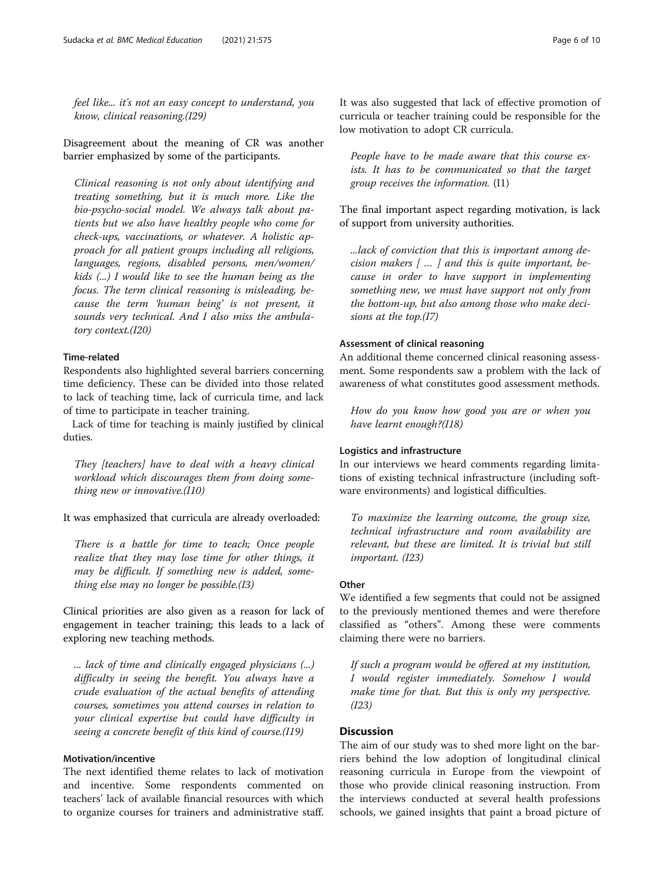feel like... it's not an easy concept to understand, you know, clinical reasoning.(I29)

Disagreement about the meaning of CR was another barrier emphasized by some of the participants.

Clinical reasoning is not only about identifying and treating something, but it is much more. Like the bio-psycho-social model. We always talk about patients but we also have healthy people who come for check-ups, vaccinations, or whatever. A holistic approach for all patient groups including all religions, languages, regions, disabled persons, men/women/ kids (...) I would like to see the human being as the focus. The term clinical reasoning is misleading, because the term 'human being' is not present, it sounds very technical. And I also miss the ambulatory context.(I20)

#### Time-related

Respondents also highlighted several barriers concerning time deficiency. These can be divided into those related to lack of teaching time, lack of curricula time, and lack of time to participate in teacher training.

Lack of time for teaching is mainly justified by clinical duties.

They [teachers] have to deal with a heavy clinical workload which discourages them from doing something new or innovative.(I10)

It was emphasized that curricula are already overloaded:

There is a battle for time to teach; Once people realize that they may lose time for other things, it may be difficult. If something new is added, something else may no longer be possible.(I3)

Clinical priorities are also given as a reason for lack of engagement in teacher training; this leads to a lack of exploring new teaching methods.

... lack of time and clinically engaged physicians (...) difficulty in seeing the benefit. You always have a crude evaluation of the actual benefits of attending courses, sometimes you attend courses in relation to your clinical expertise but could have difficulty in seeing a concrete benefit of this kind of course.(I19)

# Motivation/incentive

The next identified theme relates to lack of motivation and incentive. Some respondents commented on teachers' lack of available financial resources with which to organize courses for trainers and administrative staff. It was also suggested that lack of effective promotion of curricula or teacher training could be responsible for the low motivation to adopt CR curricula.

People have to be made aware that this course exists. It has to be communicated so that the target group receives the information. (I1)

The final important aspect regarding motivation, is lack of support from university authorities.

...lack of conviction that this is important among decision makers  $\lceil \ldots \rceil$  and this is quite important, because in order to have support in implementing something new, we must have support not only from the bottom-up, but also among those who make decisions at the top.(I7)

#### Assessment of clinical reasoning

An additional theme concerned clinical reasoning assessment. Some respondents saw a problem with the lack of awareness of what constitutes good assessment methods.

How do you know how good you are or when you have learnt enough?(I18)

# Logistics and infrastructure

In our interviews we heard comments regarding limitations of existing technical infrastructure (including software environments) and logistical difficulties.

To maximize the learning outcome, the group size, technical infrastructure and room availability are relevant, but these are limited. It is trivial but still important. (I23)

#### **Other**

We identified a few segments that could not be assigned to the previously mentioned themes and were therefore classified as "others". Among these were comments claiming there were no barriers.

If such a program would be offered at my institution, I would register immediately. Somehow I would make time for that. But this is only my perspective. (I23)

# **Discussion**

The aim of our study was to shed more light on the barriers behind the low adoption of longitudinal clinical reasoning curricula in Europe from the viewpoint of those who provide clinical reasoning instruction. From the interviews conducted at several health professions schools, we gained insights that paint a broad picture of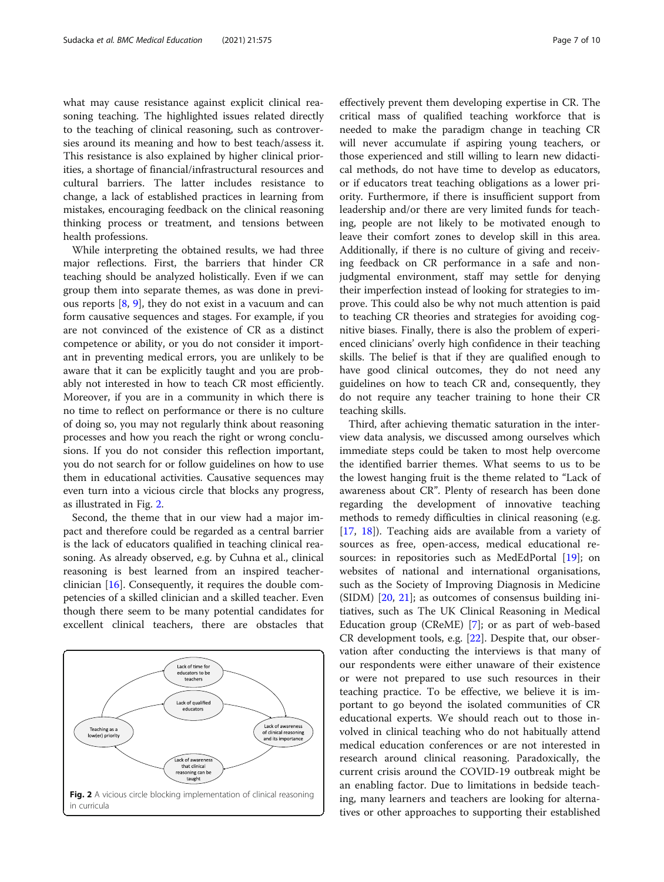what may cause resistance against explicit clinical reasoning teaching. The highlighted issues related directly to the teaching of clinical reasoning, such as controversies around its meaning and how to best teach/assess it. This resistance is also explained by higher clinical priorities, a shortage of financial/infrastructural resources and cultural barriers. The latter includes resistance to change, a lack of established practices in learning from mistakes, encouraging feedback on the clinical reasoning thinking process or treatment, and tensions between health professions.

While interpreting the obtained results, we had three major reflections. First, the barriers that hinder CR teaching should be analyzed holistically. Even if we can group them into separate themes, as was done in previous reports [\[8](#page-8-0), [9](#page-8-0)], they do not exist in a vacuum and can form causative sequences and stages. For example, if you are not convinced of the existence of CR as a distinct competence or ability, or you do not consider it important in preventing medical errors, you are unlikely to be aware that it can be explicitly taught and you are probably not interested in how to teach CR most efficiently. Moreover, if you are in a community in which there is no time to reflect on performance or there is no culture of doing so, you may not regularly think about reasoning processes and how you reach the right or wrong conclusions. If you do not consider this reflection important, you do not search for or follow guidelines on how to use them in educational activities. Causative sequences may even turn into a vicious circle that blocks any progress, as illustrated in Fig. 2.

Second, the theme that in our view had a major impact and therefore could be regarded as a central barrier is the lack of educators qualified in teaching clinical reasoning. As already observed, e.g. by Cuhna et al., clinical reasoning is best learned from an inspired teacherclinician [\[16](#page-9-0)]. Consequently, it requires the double competencies of a skilled clinician and a skilled teacher. Even though there seem to be many potential candidates for excellent clinical teachers, there are obstacles that



effectively prevent them developing expertise in CR. The critical mass of qualified teaching workforce that is needed to make the paradigm change in teaching CR will never accumulate if aspiring young teachers, or those experienced and still willing to learn new didactical methods, do not have time to develop as educators, or if educators treat teaching obligations as a lower priority. Furthermore, if there is insufficient support from leadership and/or there are very limited funds for teaching, people are not likely to be motivated enough to leave their comfort zones to develop skill in this area. Additionally, if there is no culture of giving and receiving feedback on CR performance in a safe and nonjudgmental environment, staff may settle for denying their imperfection instead of looking for strategies to improve. This could also be why not much attention is paid to teaching CR theories and strategies for avoiding cognitive biases. Finally, there is also the problem of experienced clinicians' overly high confidence in their teaching skills. The belief is that if they are qualified enough to have good clinical outcomes, they do not need any guidelines on how to teach CR and, consequently, they do not require any teacher training to hone their CR teaching skills.

Third, after achieving thematic saturation in the interview data analysis, we discussed among ourselves which immediate steps could be taken to most help overcome the identified barrier themes. What seems to us to be the lowest hanging fruit is the theme related to "Lack of awareness about CR". Plenty of research has been done regarding the development of innovative teaching methods to remedy difficulties in clinical reasoning (e.g. [[17,](#page-9-0) [18](#page-9-0)]). Teaching aids are available from a variety of sources as free, open-access, medical educational re-sources: in repositories such as MedEdPortal [[19\]](#page-9-0); on websites of national and international organisations, such as the Society of Improving Diagnosis in Medicine  $(SIDM)$  [\[20](#page-9-0), [21\]](#page-9-0); as outcomes of consensus building initiatives, such as The UK Clinical Reasoning in Medical Education group (CReME) [\[7](#page-8-0)]; or as part of web-based CR development tools, e.g. [[22](#page-9-0)]. Despite that, our observation after conducting the interviews is that many of our respondents were either unaware of their existence or were not prepared to use such resources in their teaching practice. To be effective, we believe it is important to go beyond the isolated communities of CR educational experts. We should reach out to those involved in clinical teaching who do not habitually attend medical education conferences or are not interested in research around clinical reasoning. Paradoxically, the current crisis around the COVID-19 outbreak might be an enabling factor. Due to limitations in bedside teaching, many learners and teachers are looking for alternatives or other approaches to supporting their established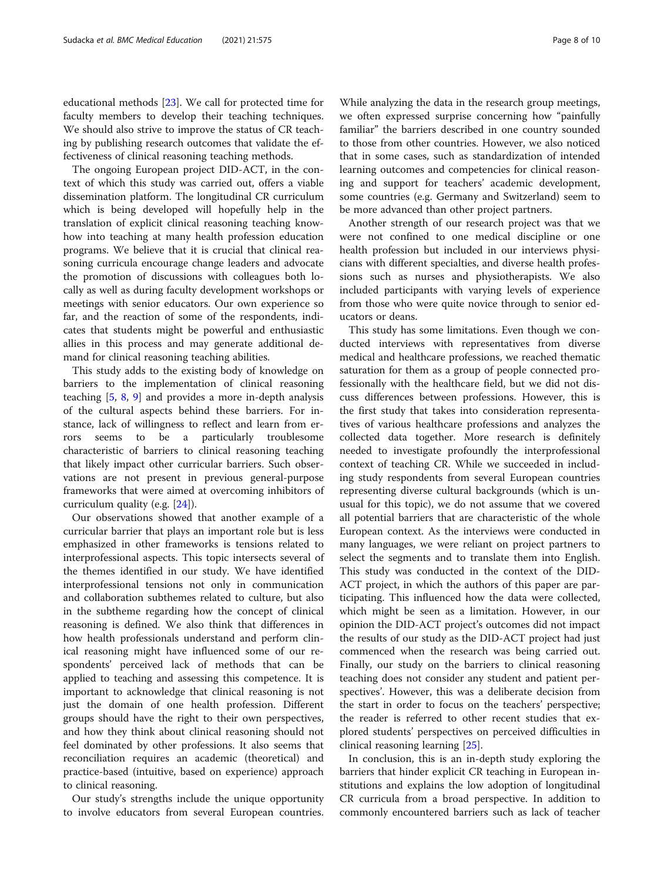educational methods [\[23](#page-9-0)]. We call for protected time for faculty members to develop their teaching techniques. We should also strive to improve the status of CR teaching by publishing research outcomes that validate the effectiveness of clinical reasoning teaching methods.

The ongoing European project DID-ACT, in the context of which this study was carried out, offers a viable dissemination platform. The longitudinal CR curriculum which is being developed will hopefully help in the translation of explicit clinical reasoning teaching knowhow into teaching at many health profession education programs. We believe that it is crucial that clinical reasoning curricula encourage change leaders and advocate the promotion of discussions with colleagues both locally as well as during faculty development workshops or meetings with senior educators. Our own experience so far, and the reaction of some of the respondents, indicates that students might be powerful and enthusiastic allies in this process and may generate additional demand for clinical reasoning teaching abilities.

This study adds to the existing body of knowledge on barriers to the implementation of clinical reasoning teaching [[5,](#page-8-0) [8](#page-8-0), [9](#page-8-0)] and provides a more in-depth analysis of the cultural aspects behind these barriers. For instance, lack of willingness to reflect and learn from errors seems to be a particularly troublesome characteristic of barriers to clinical reasoning teaching that likely impact other curricular barriers. Such observations are not present in previous general-purpose frameworks that were aimed at overcoming inhibitors of curriculum quality (e.g. [\[24](#page-9-0)]).

Our observations showed that another example of a curricular barrier that plays an important role but is less emphasized in other frameworks is tensions related to interprofessional aspects. This topic intersects several of the themes identified in our study. We have identified interprofessional tensions not only in communication and collaboration subthemes related to culture, but also in the subtheme regarding how the concept of clinical reasoning is defined. We also think that differences in how health professionals understand and perform clinical reasoning might have influenced some of our respondents' perceived lack of methods that can be applied to teaching and assessing this competence. It is important to acknowledge that clinical reasoning is not just the domain of one health profession. Different groups should have the right to their own perspectives, and how they think about clinical reasoning should not feel dominated by other professions. It also seems that reconciliation requires an academic (theoretical) and practice-based (intuitive, based on experience) approach to clinical reasoning.

Our study's strengths include the unique opportunity to involve educators from several European countries.

While analyzing the data in the research group meetings, we often expressed surprise concerning how "painfully familiar" the barriers described in one country sounded to those from other countries. However, we also noticed that in some cases, such as standardization of intended learning outcomes and competencies for clinical reasoning and support for teachers' academic development, some countries (e.g. Germany and Switzerland) seem to be more advanced than other project partners.

Another strength of our research project was that we were not confined to one medical discipline or one health profession but included in our interviews physicians with different specialties, and diverse health professions such as nurses and physiotherapists. We also included participants with varying levels of experience from those who were quite novice through to senior educators or deans.

This study has some limitations. Even though we conducted interviews with representatives from diverse medical and healthcare professions, we reached thematic saturation for them as a group of people connected professionally with the healthcare field, but we did not discuss differences between professions. However, this is the first study that takes into consideration representatives of various healthcare professions and analyzes the collected data together. More research is definitely needed to investigate profoundly the interprofessional context of teaching CR. While we succeeded in including study respondents from several European countries representing diverse cultural backgrounds (which is unusual for this topic), we do not assume that we covered all potential barriers that are characteristic of the whole European context. As the interviews were conducted in many languages, we were reliant on project partners to select the segments and to translate them into English. This study was conducted in the context of the DID-ACT project, in which the authors of this paper are participating. This influenced how the data were collected, which might be seen as a limitation. However, in our opinion the DID-ACT project's outcomes did not impact the results of our study as the DID-ACT project had just commenced when the research was being carried out. Finally, our study on the barriers to clinical reasoning teaching does not consider any student and patient perspectives'. However, this was a deliberate decision from the start in order to focus on the teachers' perspective; the reader is referred to other recent studies that explored students' perspectives on perceived difficulties in clinical reasoning learning [\[25\]](#page-9-0).

In conclusion, this is an in-depth study exploring the barriers that hinder explicit CR teaching in European institutions and explains the low adoption of longitudinal CR curricula from a broad perspective. In addition to commonly encountered barriers such as lack of teacher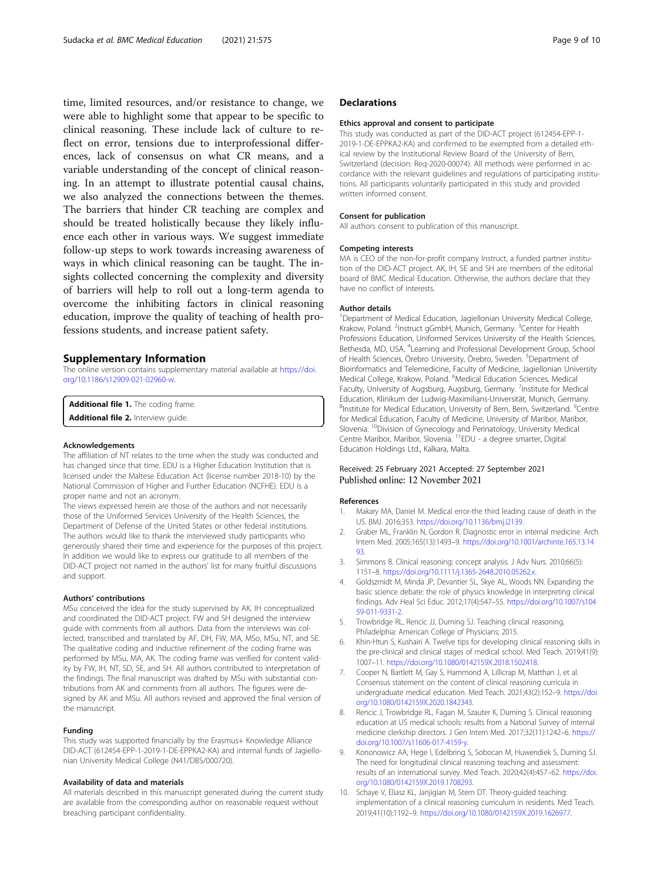<span id="page-8-0"></span>time, limited resources, and/or resistance to change, we were able to highlight some that appear to be specific to clinical reasoning. These include lack of culture to reflect on error, tensions due to interprofessional differences, lack of consensus on what CR means, and a variable understanding of the concept of clinical reasoning. In an attempt to illustrate potential causal chains, we also analyzed the connections between the themes. The barriers that hinder CR teaching are complex and should be treated holistically because they likely influence each other in various ways. We suggest immediate follow-up steps to work towards increasing awareness of ways in which clinical reasoning can be taught. The insights collected concerning the complexity and diversity of barriers will help to roll out a long-term agenda to overcome the inhibiting factors in clinical reasoning education, improve the quality of teaching of health professions students, and increase patient safety.

# Supplementary Information

The online version contains supplementary material available at [https://doi.](https://doi.org/10.1186/s12909-021-02960-w) [org/10.1186/s12909-021-02960-w](https://doi.org/10.1186/s12909-021-02960-w).

Additional file 1. The coding frame. Additional file 2. Interview quide.

#### Acknowledgements

The affiliation of NT relates to the time when the study was conducted and has changed since that time. EDU is a Higher Education Institution that is licensed under the Maltese Education Act (license number 2018-10) by the National Commission of Higher and Further Education (NCFHE). EDU is a proper name and not an acronym.

The views expressed herein are those of the authors and not necessarily those of the Uniformed Services University of the Health Sciences, the Department of Defense of the United States or other federal institutions. The authors would like to thank the interviewed study participants who generously shared their time and experience for the purposes of this project. In addition we would like to express our gratitude to all members of the DID-ACT project not named in the authors' list for many fruitful discussions and support.

#### Authors' contributions

MSu conceived the idea for the study supervised by AK. IH conceptualized and coordinated the DID-ACT project. FW and SH designed the interview guide with comments from all authors. Data from the interviews was collected, transcribed and translated by AF, DH, FW, MA, MSo, MSu, NT, and SE. The qualitative coding and inductive refinement of the coding frame was performed by MSu, MA, AK. The coding frame was verified for content validity by FW, IH, NT, SD, SE, and SH. All authors contributed to interpretation of the findings. The final manuscript was drafted by MSu with substantial contributions from AK and comments from all authors. The figures were designed by AK and MSu. All authors revised and approved the final version of the manuscript.

#### Funding

This study was supported financially by the Erasmus+ Knowledge Alliance DID-ACT (612454-EPP-1-2019-1-DE-EPPKA2-KA) and internal funds of Jagiellonian University Medical College (N41/DBS/000720).

#### Availability of data and materials

All materials described in this manuscript generated during the current study are available from the corresponding author on reasonable request without breaching participant confidentiality.

## **Declarations**

#### Ethics approval and consent to participate

This study was conducted as part of the DID-ACT project (612454-EPP-1- 2019-1-DE-EPPKA2-KA) and confirmed to be exempted from a detailed ethical review by the Institutional Review Board of the University of Bern, Switzerland (decision: Req-2020-00074). All methods were performed in accordance with the relevant guidelines and regulations of participating institutions. All participants voluntarily participated in this study and provided written informed consent.

#### Consent for publication

All authors consent to publication of this manuscript.

#### Competing interests

MA is CEO of the non-for-profit company Instruct, a funded partner institution of the DID-ACT project. AK, IH, SE and SH are members of the editorial board of BMC Medical Education. Otherwise, the authors declare that they have no conflict of interests.

#### Author details

<sup>1</sup>Department of Medical Education, Jagiellonian University Medical College, Krakow, Poland. <sup>2</sup>Instruct gGmbH, Munich, Germany. <sup>3</sup>Center for Health Professions Education, Uniformed Services University of the Health Sciences, Bethesda, MD, USA. <sup>4</sup>Learning and Professional Development Group, School of Health Sciences, Örebro University, Örebro, Sweden. <sup>5</sup>Department of Bioinformatics and Telemedicine, Faculty of Medicine, Jagiellonian University Medical College, Krakow, Poland. <sup>6</sup>Medical Education Sciences, Medical Faculty, University of Augsburg, Augsburg, Germany. <sup>7</sup>Institute for Medical Education, Klinikum der Ludwig-Maximilians-Universität, Munich, Germany. <sup>8</sup>Institute for Medical Education, University of Bern, Bern, Switzerland. <sup>9</sup>Centre for Medical Education, Faculty of Medicine, University of Maribor, Maribor, Slovenia. <sup>10</sup>Division of Gynecology and Perinatology, University Medical Centre Maribor, Maribor, Slovenia. <sup>11</sup>EDU - a degree smarter, Digital Education Holdings Ltd., Kalkara, Malta.

#### Received: 25 February 2021 Accepted: 27 September 2021 Published online: 12 November 2021

#### References

- 1. Makary MA, Daniel M. Medical error-the third leading cause of death in the US. BMJ. 2016;353. [https://doi.org/10.1136/bmj.i2139.](https://doi.org/10.1136/bmj.i2139)
- 2. Graber ML, Franklin N, Gordon R. Diagnostic error in internal medicine. Arch Intern Med. 2005;165(13):1493–9. [https://doi.org/10.1001/archinte.165.13.14](https://doi.org/10.1001/archinte.165.13.1493) [93.](https://doi.org/10.1001/archinte.165.13.1493)
- 3. Simmons B. Clinical reasoning: concept analysis. J Adv Nurs. 2010;66(5): 1151–8. <https://doi.org/10.1111/j.1365-2648.2010.05262.x>.
- 4. Goldszmidt M, Minda JP, Devantier SL, Skye AL, Woods NN. Expanding the basic science debate: the role of physics knowledge in interpreting clinical findings. Adv Heal Sci Educ. 2012;17(4):547–55. [https://doi.org/10.1007/s104](https://doi.org/10.1007/s10459-011-9331-2) [59-011-9331-2](https://doi.org/10.1007/s10459-011-9331-2).
- 5. Trowbridge RL, Rencic JJ, Durning SJ. Teaching clinical reasoning. Philadelphia: American College of Physicians; 2015.
- 6. Khin-Htun S, Kushairi A. Twelve tips for developing clinical reasoning skills in the pre-clinical and clinical stages of medical school. Med Teach. 2019;41(9): 1007–11. [https://doi.org/10.1080/0142159X.2018.1502418.](https://doi.org/10.1080/0142159X.2018.1502418)
- 7. Cooper N, Bartlett M, Gay S, Hammond A, Lillicrap M, Matthan J, et al. Consensus statement on the content of clinical reasoning curricula in undergraduate medical education. Med Teach. 2021;43(2):152–9. [https://doi.](https://doi.org/10.1080/0142159X.2020.1842343) [org/10.1080/0142159X.2020.1842343.](https://doi.org/10.1080/0142159X.2020.1842343)
- 8. Rencic J, Trowbridge RL, Fagan M, Szauter K, Durning S. Clinical reasoning education at US medical schools: results from a National Survey of internal medicine clerkship directors. J Gen Intern Med. 2017;32(11):1242–6. [https://](https://doi.org/10.1007/s11606-017-4159-y) [doi.org/10.1007/s11606-017-4159-y](https://doi.org/10.1007/s11606-017-4159-y).
- 9. Kononowicz AA, Hege I, Edelbring S, Sobocan M, Huwendiek S, Durning SJ. The need for longitudinal clinical reasoning teaching and assessment: results of an international survey. Med Teach. 2020;42(4):457–62. [https://doi.](https://doi.org/10.1080/0142159X.2019.1708293) [org/10.1080/0142159X.2019.1708293.](https://doi.org/10.1080/0142159X.2019.1708293)
- 10. Schaye V, Eliasz KL, Janjigian M, Stern DT. Theory-guided teaching: implementation of a clinical reasoning curriculum in residents. Med Teach. 2019;41(10):1192–9. [https://doi.org/10.1080/0142159X.2019.1626977.](https://doi.org/10.1080/0142159X.2019.1626977)